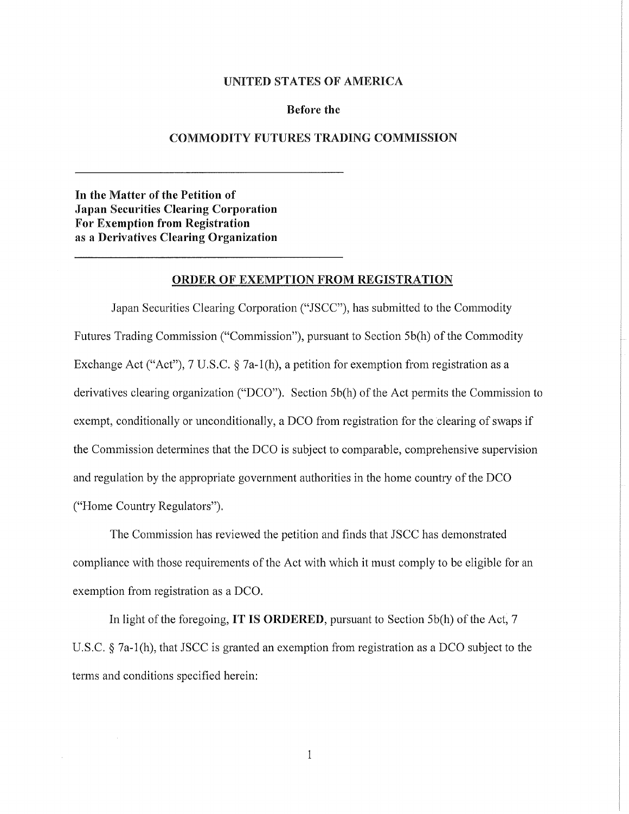## UNITED STATES OF AMERICA

## Before the

## COMMODITY FUTURES TRADING COMMISSION

In the Matter of the Petition of Japan Securities Clearing Corporation For Exemption from Registration as a Derivatives Clearing Organization

## ORDER OF EXEMPTION FROM REGISTRATION

Japan Securities Clearing Corporation ("JSCC"), has submitted to the Commodity Futures Trading Commission ("Commission"), pursuant to Section 5b(h) of the Commodity Exchange Act ("Act"), 7 U.S.C. § 7a-1(h), a petition for exemption from registration as a derivatives clearing organization ("DCO"). Section 5b(h) of the Act permits the Commission to exempt, conditionally or unconditionally, a DCO from registration for the clearing of swaps if the Commission determines that the DCO is subject to comparable, comprehensive supervision and regulation by the appropriate government authorities in the home country of the DCO ("Home Country Regulators").

The Commission has reviewed the petition and finds that JSCC has demonstrated compliance with those requirements of the Act with which it must comply to be eligible for an exemption from registration as a DCO.

In light of the foregoing, IT IS ORDERED, pursuant to Section 5b(h) of the Act, 7 U.S.C. § 7a-l(h), that JSCC is granted an exemption from registration as a DCO subject to the terms and conditions specified herein:

 $\mathbf{1}$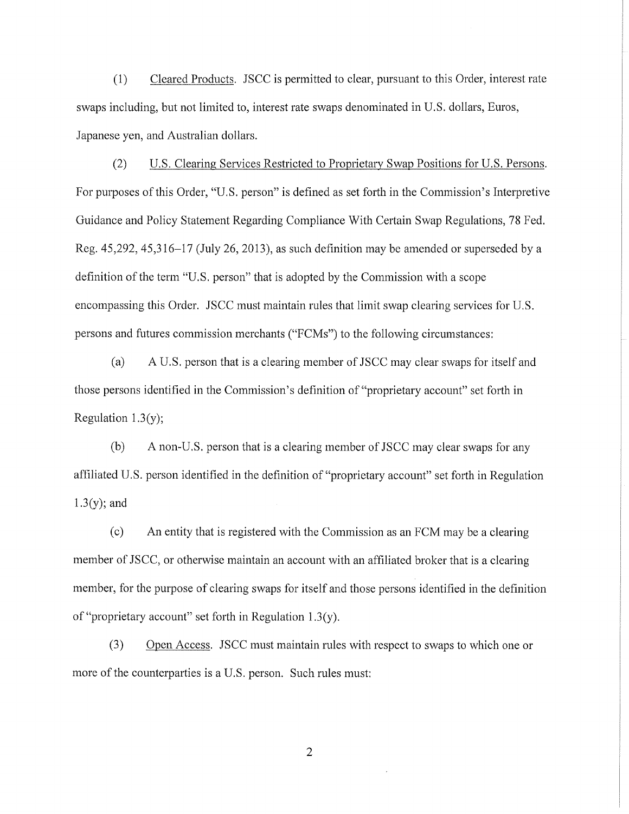(1) Cleared Products. JSCC is permitted to clear, pursuant to this Order, interest rate swaps including, but not limited to, interest rate swaps denominated in U.S. dollars, Euros, Japanese yen, and Australian dollars.

(2) U.S. Clearing Services Restricted to Proprietary Swap Positions for U.S. Persons. For purposes of this Order, "U.S. person" is defined as set forth in the Commission's Interpretive Guidance and Policy Statement Regarding Compliance With Certain Swap Regulations, 78 Fed. Reg.  $45,292, 45,316-17$  (July 26, 2013), as such definition may be amended or superseded by a definition of the term "U.S. person" that is adopted by the Commission with a scope encompassing this Order. JSCC must maintain rules that limit swap clearing services for U.S. persons and futures commission merchants ("FCMs") to the following circumstances:

(a) A U.S. person that is a clearing member of JSCC may clear swaps for itself and those persons identified in the Commission's definition of "proprietary account" set forth in Regulation 1.3(y);

(b) A non-U.S. person that is a clearing member of JSCC may clear swaps for any affiliated U.S. person identified in the definition of "proprietary account" set forth in Regulation 1.3(y); and

(c) An entity that is registered with the Commission as an FCM may be a clearing member of JSCC, or otherwise maintain an account with an affiliated broker that is a clearing member, for the purpose of clearing swaps for itself and those persons identified in the definition of "proprietary account" set forth in Regulation 1.3(y).

(3) Open Access. JSCC must maintain rules with respect to swaps to which one or more of the counterparties is a U.S. person. Such rules must: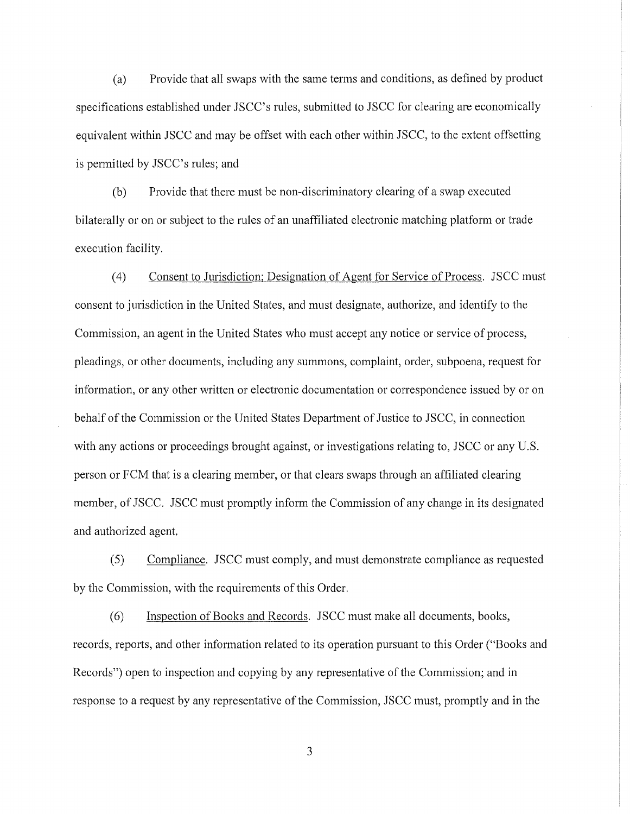(a) Provide that all swaps with the same terms and conditions, as defined by product specifications established under JSCC's rules, submitted to JSCC for clearing are economically equivalent within JSCC and may be offset with each other within JSCC, to the extent offsetting is permitted by JSCC's rules; and

(b) Provide that there must be non-discriminatory clearing of a swap executed bilaterally or on or subject to the rules of an unaffiliated electronic matching platform or trade execution facility.

(4) Consent to Jurisdiction; Designation of Agent for Service of Process. JSCC must consent to jurisdiction in the United States, and must designate, authorize, and identify to the Commission, an agent in the United States who must accept any notice or service of process, pleadings, or other documents, including any summons, complaint, order, subpoena, request for information, or any other written or electronic documentation or correspondence issued by or on behalf of the Commission or the United States Department of Justice to JSCC, in connection with any actions or proceedings brought against, or investigations relating to, JSCC or any U.S. person or FCM that is a clearing member, or that clears swaps through an affiliated clearing member, of JSCC. JSCC must promptly inform the Commission of any change in its designated and authorized agent.

(5) Compliance. JSCC must comply, and must demonstrate compliance as requested by the Commission, with the requirements of this Order.

(6) Inspection of Books and Records. JSCC must make all documents, books, records, reports, and other information related to its operation pursuant to this Order ("Books and Records") open to inspection and copying by any representative of the Commission; and in response to a request by any representative of the Commission, JSCC must, promptly and in the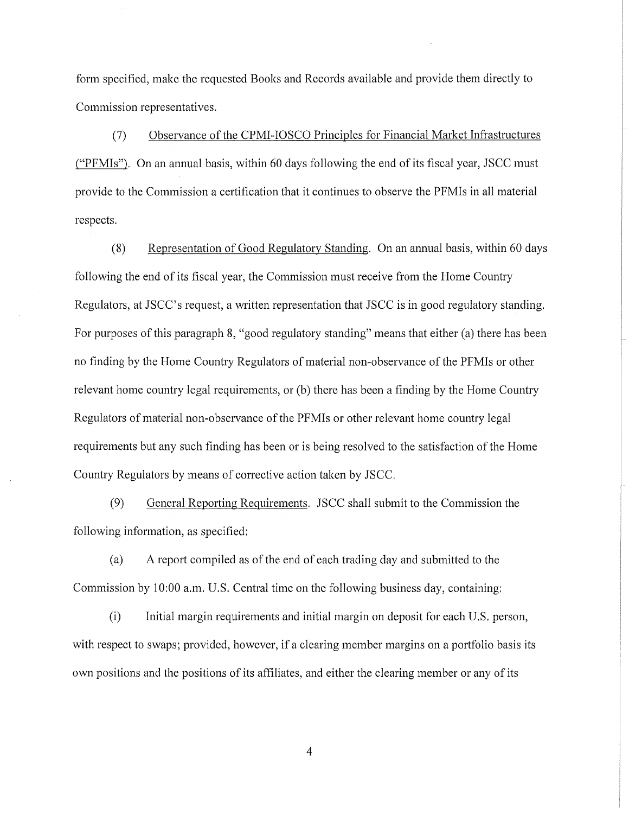form specified, make the requested Books and Records available and provide them directly to Commission representatives.

(7) Observance of the CPMI-IOSCO Principles for Financial Market Infrastructures ("PFMis"). On an annual basis, within 60 days following the end of its fiscal year, JSCC must provide to the Commission a certification that it continues to observe the PFMis in all material respects.

(8) Representation of Good Regulatory Standing. On an annual basis, within 60 days following the end of its fiscal year, the Commission must receive from the Home Country Regulators, at JSCC's request, a written representation that JSCC is in good regulatory standing. For purposes of this paragraph 8, "good regulatory standing" means that either (a) there has been no finding by the Home Country Regulators of material non-observance of the PFMis or other relevant home country legal requirements, or (b) there has been a finding by the Home Country Regulators of material non-observance of the PFMis or other relevant home country legal requirements but any such finding has been or is being resolved to the satisfaction of the Home Country Regulators by means of corrective action taken by JSCC.

(9) General Reporting Requirements. JSCC shall submit to the Commission the following information, as specified:

(a) A report compiled as of the end of each trading day and submitted to the Commission by 10:00 a.m. U.S. Central time on the following business day, containing:

(i) Initial margin requirements and initial margin on deposit for each U.S. person, with respect to swaps; provided, however, if a clearing member margins on a portfolio basis its own positions and the positions of its affiliates, and either the clearing member or any of its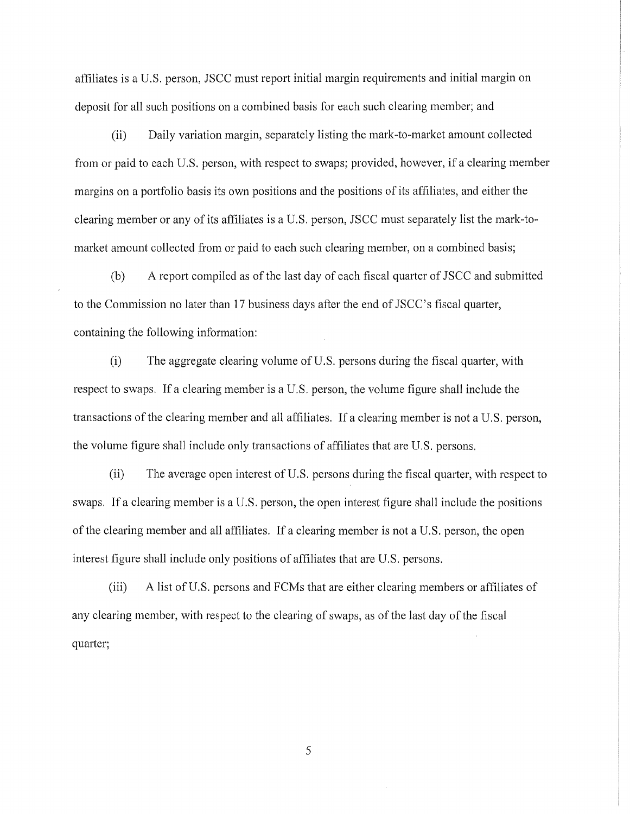affiliates is a U.S. person, JSCC must report initial margin requirements and initial margin on deposit for all such positions on a combined basis for each such clearing member; and

(ii) Daily variation margin, separately listing the mark-to-market amount collected from or paid to each U.S. person, with respect to swaps; provided, however, if a clearing member margins on a portfolio basis its own positions and the positions of its affiliates, and either the clearing member or any of its affiliates is a U.S. person, JSCC must separately list the mark-tomarket amount collected from or paid to each such clearing member, on a combined basis;

(b) A report compiled as of the last day of each fiscal quarter of JSCC and submitted to the Commission no later than 17 business days after the end of JSCC's fiscal quarter, containing the following information:

(i) The aggregate clearing volume of U.S. persons during the fiscal quarter, with respect to swaps. If a clearing member is a U.S. person, the volume figure shall include the transactions of the clearing member and all affiliates. If a clearing member is not a U.S. person, the volume figure shall include only transactions of affiliates that are U.S. persons.

(ii) The average open interest of U.S. persons during the fiscal quarter, with respect to swaps. If a clearing member is a U.S. person, the open interest figure shall include the positions of the clearing member and all affiliates. If a clearing member is not a U.S. person, the open interest figure shall include only positions of affiliates that are U.S. persons.

(iii) A list of U.S. persons and FCMs that are either clearing members or affiliates of any clearing member, with respect to the clearing of swaps, as of the last day of the fiscal quarter;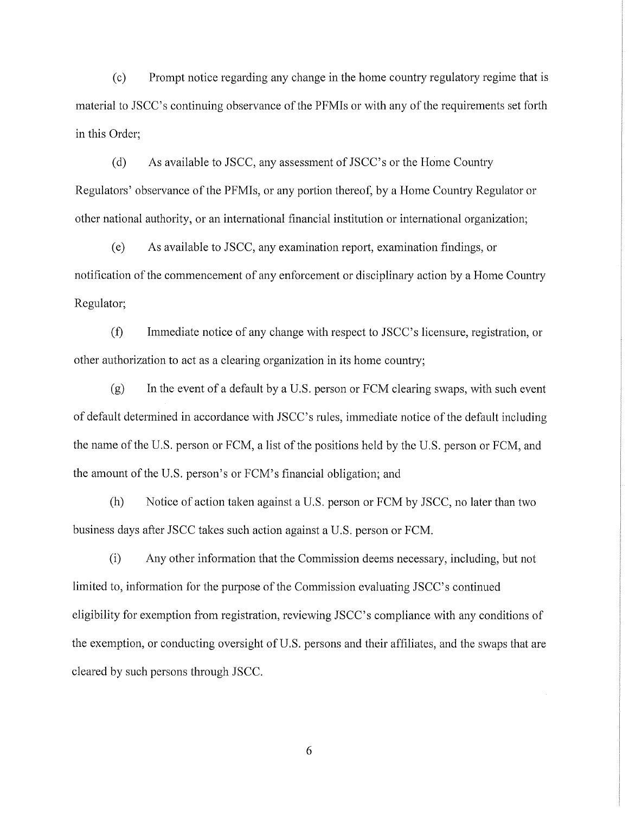(c) Prompt notice regarding any change in the home country regulatory regime that is material to JSCC's continuing observance of the PFMIs or with any of the requirements set forth in this Order;

(d) As available to JSCC, any assessment of JSCC's or the Home Country Regulators' observance of the PFMis, or any portion thereof, by a Home Country Regulator or other national authority, or an international financial institution or international organization;

(e) As available to JSCC, any examination report, examination findings, or notification of the commencement of any enforcement or disciplinary action by a Home Country Regulator;

(f) Immediate notice of any change with respect to JSCC's licensure, registration, or other authorization to act as a clearing organization in its home country;

 $(g)$  In the event of a default by a U.S. person or FCM clearing swaps, with such event of default determined in accordance with JSCC's rules, immediate notice of the default including the name of the U.S. person or FCM, a list of the positions held by the U.S. person or FCM, and the amount of the U.S. person's or FCM's financial obligation; and

(h) Notice of action taken against a U.S. person or FCM by JSCC, no later than two business days after JSCC takes such action against a U.S. person or FCM.

(i) Any other information that the Commission deems necessary, including, but not limited to, information for the purpose of the Commission evaluating JSCC's continued eligibility for exemption from registration, reviewing JSCC's compliance with any conditions of the exemption, or conducting oversight of U.S. persons and their affiliates, and the swaps that are cleared by such persons through JSCC.